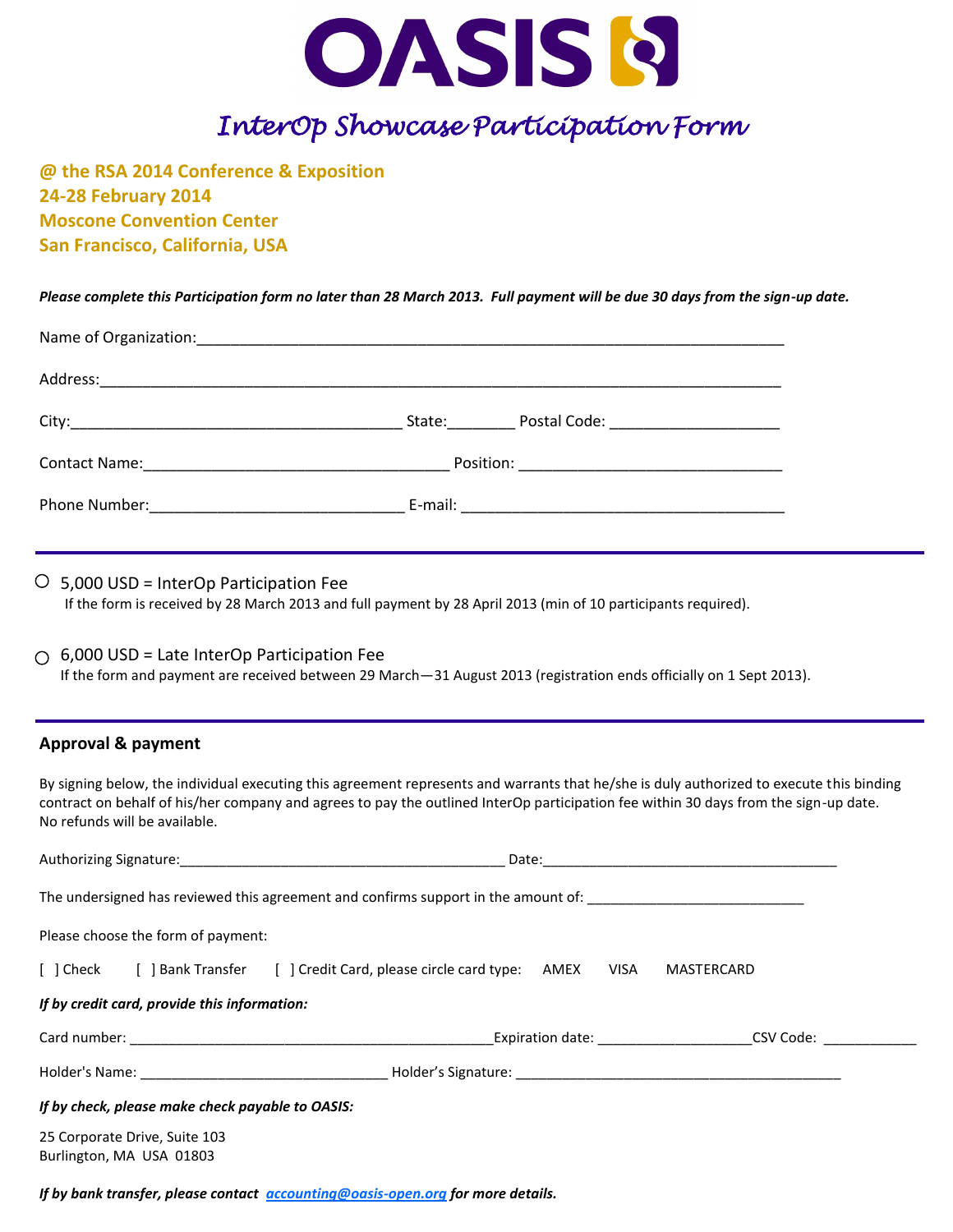

## *InterOp Showcase Participation Form*

**@ the RSA 2014 Conference & Exposition 24-28 February 2014 Moscone Convention Center San Francisco, California, USA** 

*Please complete this Participation form no later than 28 March 2013. Full payment will be due 30 days from the sign-up date.* 

|                                                                | State: Postal Code: National Assembly Postal Code: |  |
|----------------------------------------------------------------|----------------------------------------------------|--|
|                                                                |                                                    |  |
| Phone Number: 1990 March 2010 March 2010 March 2010 March 2010 |                                                    |  |

 $\circ$  5,000 USD = InterOp Participation Fee

If the form is received by 28 March 2013 and full payment by 28 April 2013 (min of 10 participants required).

#### $\bigcirc$  6,000 USD = Late InterOp Participation Fee

If the form and payment are received between 29 March—31 August 2013 (registration ends officially on 1 Sept 2013).

#### **Approval & payment**

By signing below, the individual executing this agreement represents and warrants that he/she is duly authorized to execute this binding contract on behalf of his/her company and agrees to pay the outlined InterOp participation fee within 30 days from the sign-up date. No refunds will be available.

|                                                                                    | Date: |            |  |
|------------------------------------------------------------------------------------|-------|------------|--|
| The undersigned has reviewed this agreement and confirms support in the amount of: |       |            |  |
| Please choose the form of payment:                                                 |       |            |  |
| [ ] Check [ ] Bank Transfer [ ] Credit Card, please circle card type: AMEX         | VISA  | MASTERCARD |  |
| If by credit card, provide this information:                                       |       |            |  |
|                                                                                    |       | CSV Code:  |  |
|                                                                                    |       |            |  |
| If by check, please make check payable to OASIS:                                   |       |            |  |
| 25 Corporate Drive, Suite 103<br>Burlington, MA USA 01803                          |       |            |  |

*If by bank transfer, please contact [accounting@oasis-open.org](mailto:accounting@oasis-open.org) for more details.*